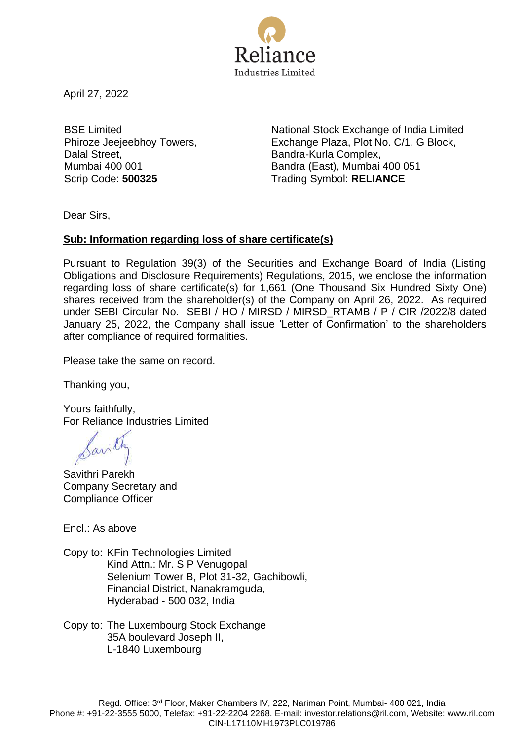

April 27, 2022

BSE Limited Phiroze Jeejeebhoy Towers, Dalal Street, Mumbai 400 001

National Stock Exchange of India Limited Exchange Plaza, Plot No. C/1, G Block, Bandra-Kurla Complex, Bandra (East), Mumbai 400 051 Scrip Code: **500325** Trading Symbol: **RELIANCE** 

Dear Sirs,

## **Sub: Information regarding loss of share certificate(s)**

Pursuant to Regulation 39(3) of the Securities and Exchange Board of India (Listing Obligations and Disclosure Requirements) Regulations, 2015, we enclose the information regarding loss of share certificate(s) for 1,661 (One Thousand Six Hundred Sixty One) shares received from the shareholder(s) of the Company on April 26, 2022. As required under SEBI Circular No. SEBI / HO / MIRSD / MIRSD\_RTAMB / P / CIR /2022/8 dated January 25, 2022, the Company shall issue 'Letter of Confirmation' to the shareholders after compliance of required formalities.

Please take the same on record.

Thanking you,

Yours faithfully, For Reliance Industries Limited

Savilh

Savithri Parekh Company Secretary and Compliance Officer

Encl.: As above

Copy to: KFin Technologies Limited Kind Attn.: Mr. S P Venugopal Selenium Tower B, Plot 31-32, Gachibowli, Financial District, Nanakramguda, Hyderabad - 500 032, India

Copy to: The Luxembourg Stock Exchange 35A boulevard Joseph II, L-1840 Luxembourg